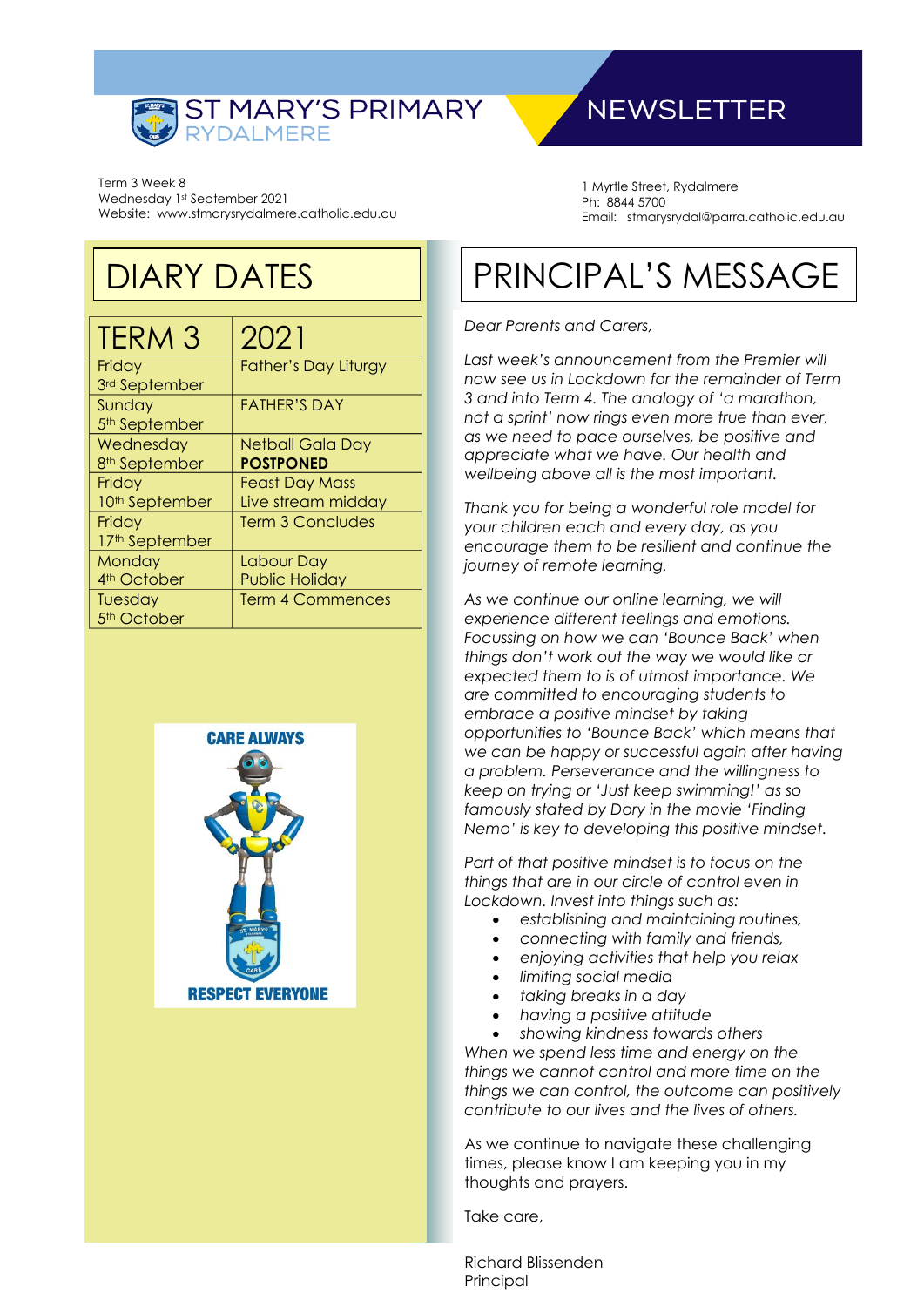

## **NEWSLETTER**

Term 3 Week 8 Wednesday 1st September 2021 Website: www.stmarysrydalmere.catholic.edu.au

## DIARY DATES

| <b>TERM 3</b>             | 2021                        |
|---------------------------|-----------------------------|
| Friday                    | <b>Father's Day Liturgy</b> |
| 3rd September             |                             |
| Sunday                    | <b>FATHER'S DAY</b>         |
| 5 <sup>th</sup> September |                             |
| Wednesday                 | Netball Gala Day            |
| 8 <sup>th</sup> September | <b>POSTPONED</b>            |
| Friday                    | <b>Feast Day Mass</b>       |
| 10th September            | Live stream midday          |
| Friday                    | <b>Term 3 Concludes</b>     |
| 17th September            |                             |
| Monday                    | Labour Day                  |
| 4 <sup>th</sup> October   | <b>Public Holiday</b>       |
| Tuesday                   | <b>Term 4 Commences</b>     |
| 5 <sup>th</sup> October   |                             |



1 Myrtle Street, Rydalmere Ph: 8844 5700 Email: stmarysrydal@parra.catholic.edu.au

# PRINCIPAL'S MESSAGE

#### *Dear Parents and Carers,*

*Last week's announcement from the Premier will now see us in Lockdown for the remainder of Term 3 and into Term 4. The analogy of 'a marathon, not a sprint' now rings even more true than ever, as we need to pace ourselves, be positive and appreciate what we have. Our health and wellbeing above all is the most important.*

*Thank you for being a wonderful role model for your children each and every day, as you encourage them to be resilient and continue the journey of remote learning.*

*As we continue our online learning, we will experience different feelings and emotions. Focussing on how we can 'Bounce Back' when things don't work out the way we would like or expected them to is of utmost importance. We are committed to encouraging students to embrace a positive mindset by taking opportunities to 'Bounce Back' which means that we can be happy or successful again after having a problem. Perseverance and the willingness to keep on trying or 'Just keep swimming!' as so famously stated by Dory in the movie 'Finding Nemo' is key to developing this positive mindset.*

*Part of that positive mindset is to focus on the things that are in our circle of control even in Lockdown. Invest into things such as:*

- *establishing and maintaining routines,*
- *connecting with family and friends,*
- *enjoying activities that help you relax*
- *limiting social media*
- *taking breaks in a day*
- *having a positive attitude*

• *showing kindness towards others When we spend less time and energy on the things we cannot control and more time on the things we can control, the outcome can positively contribute to our lives and the lives of others.*

As we continue to navigate these challenging times, please know I am keeping you in my thoughts and prayers.

Take care,

Richard Blissenden Principal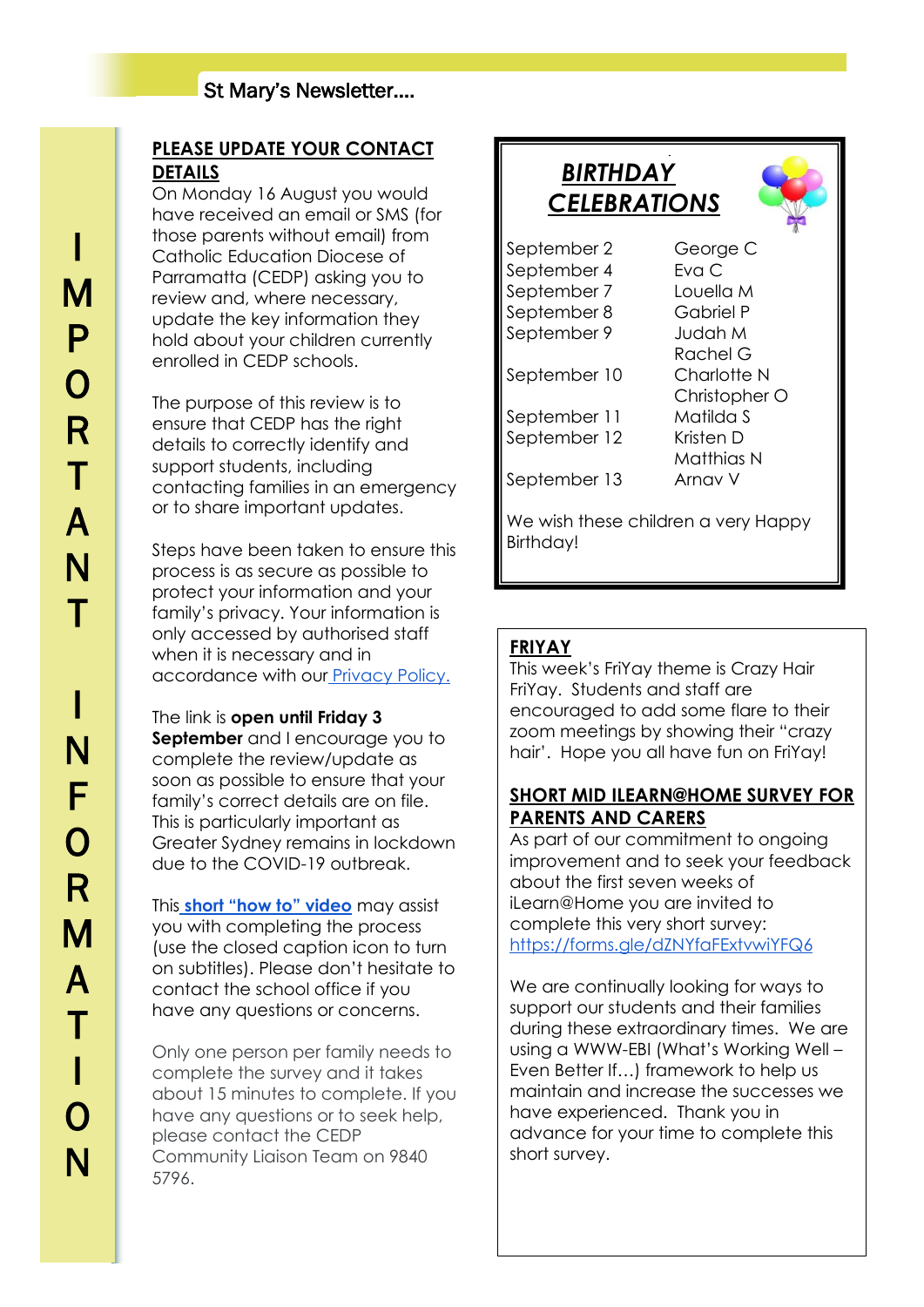### **PLEASE UPDATE YOUR CONTACT DETAILS**

On Monday 16 August you would have received an email or SMS (for those parents without email) from Catholic Education Diocese of Parramatta (CEDP) asking you to review and, where necessary, update the key information they hold about your children currently enrolled in CEDP schools.

The purpose of this review is to ensure that CEDP has the right details to correctly identify and support students, including contacting families in an emergency or to share important updates.

Steps have been taken to ensure this process is as secure as possible to protect your information and your family's privacy. Your information is only accessed by authorised staff when it is necessary and in accordance with our [Privacy Policy.](https://oscarshare.parra.catholic.edu.au/My%20Work/SystemPoliciesandProcedures/Privacy%20Policy.pdf)

The link is **open until Friday 3 September** and I encourage you to complete the review/update as soon as possible to ensure that your family's correct details are on file. This is particularly important as Greater Sydney remains in lockdown due to the COVID-19 outbreak.

This **[short "how to" video](https://youtu.be/Rat7w0hEjZE)** may assist you with completing the process (use the closed caption icon to turn on subtitles). Please don't hesitate to contact the school office if you have any questions or concerns.

Only one person per family needs to complete the survey and it takes about 15 minutes to complete. If you have any questions or to seek help, please contact the CEDP Community Liaison Team on 9840 5796.

### *BIRTHDAY CELEBRATIONS*

J

September 2 George C September 4 Fyg C September 7 Louella M September 8 Gabriel P September 9 Judah M

September 10 Charlotte N

September 11 Matilda S

September 12 Kristen D

Matthias N September 13 Arnav V We wish these children a very Happy Birthday!

Rachel G

Christopher O

### **FRIYAY**

This week's FriYay theme is Crazy Hair FriYay. Students and staff are encouraged to add some flare to their zoom meetings by showing their "crazy hair'. Hope you all have fun on FriYay!

#### **SHORT MID ILEARN@HOME SURVEY FOR PARENTS AND CARERS**

As part of our commitment to ongoing improvement and to seek your feedback about the first seven weeks of iLearn@Home you are invited to complete this very short survey: [https://forms.gle/dZNYfaFExtvwiYFQ6](https://y8csck80.r.ap-southeast-2.awstrack.me/L0/https:%2F%2Fforms.gle%2FdZNYfaFExtvwiYFQ6/1/0108017b9e64dd9a-52e7591b-3db2-47f3-b295-5949e603fb95-000000/p2OpqGuFCSm-W-UnjS9dngcl_QE=14)

We are continually looking for ways to support our students and their families during these extraordinary times. We are using a WWW-EBI (What's Working Well – Even Better If…) framework to help us maintain and increase the successes we have experienced. Thank you in advance for your time to complete this short survey.

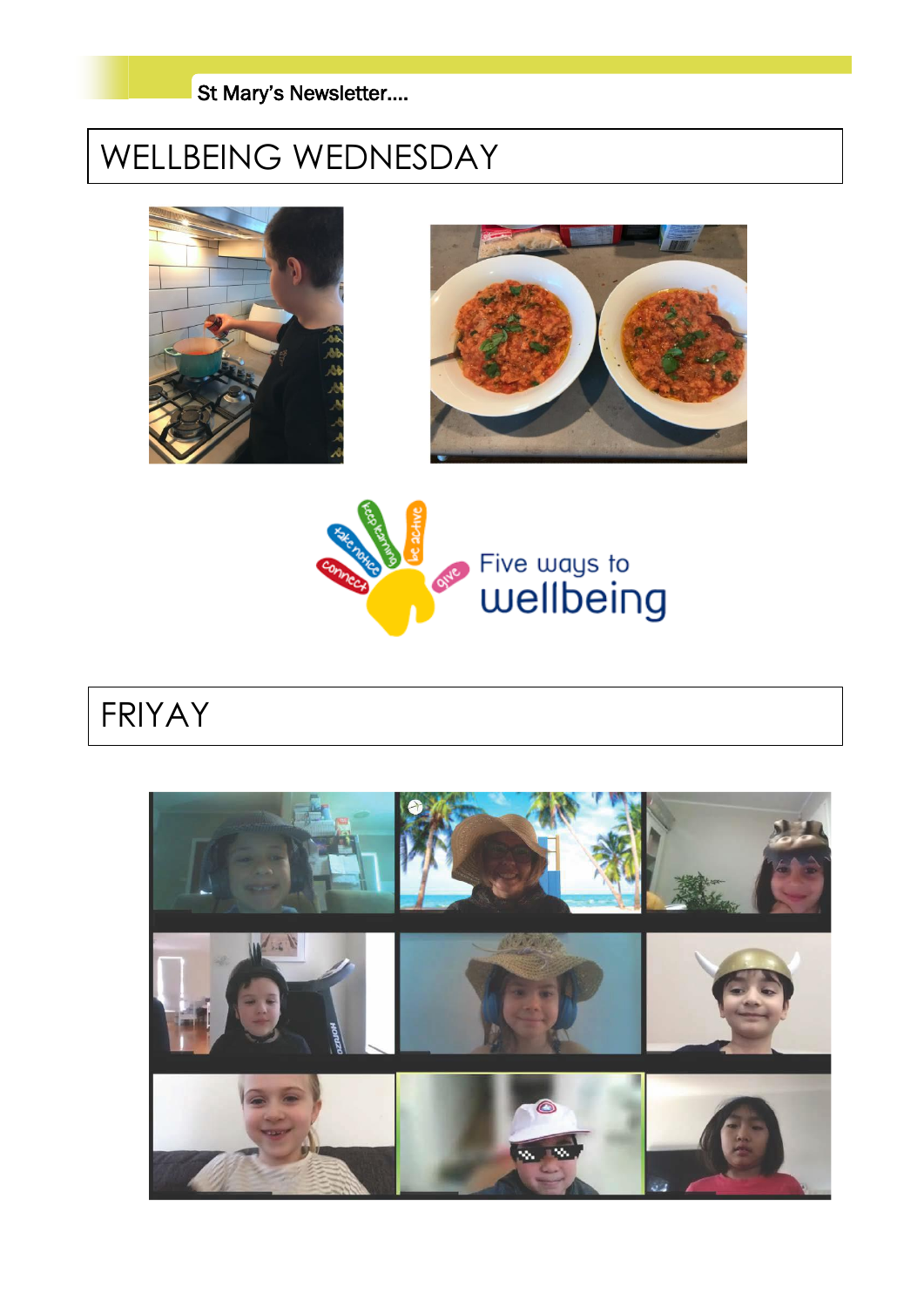

# WELLBEING WEDNESDAY







# FRIYAY

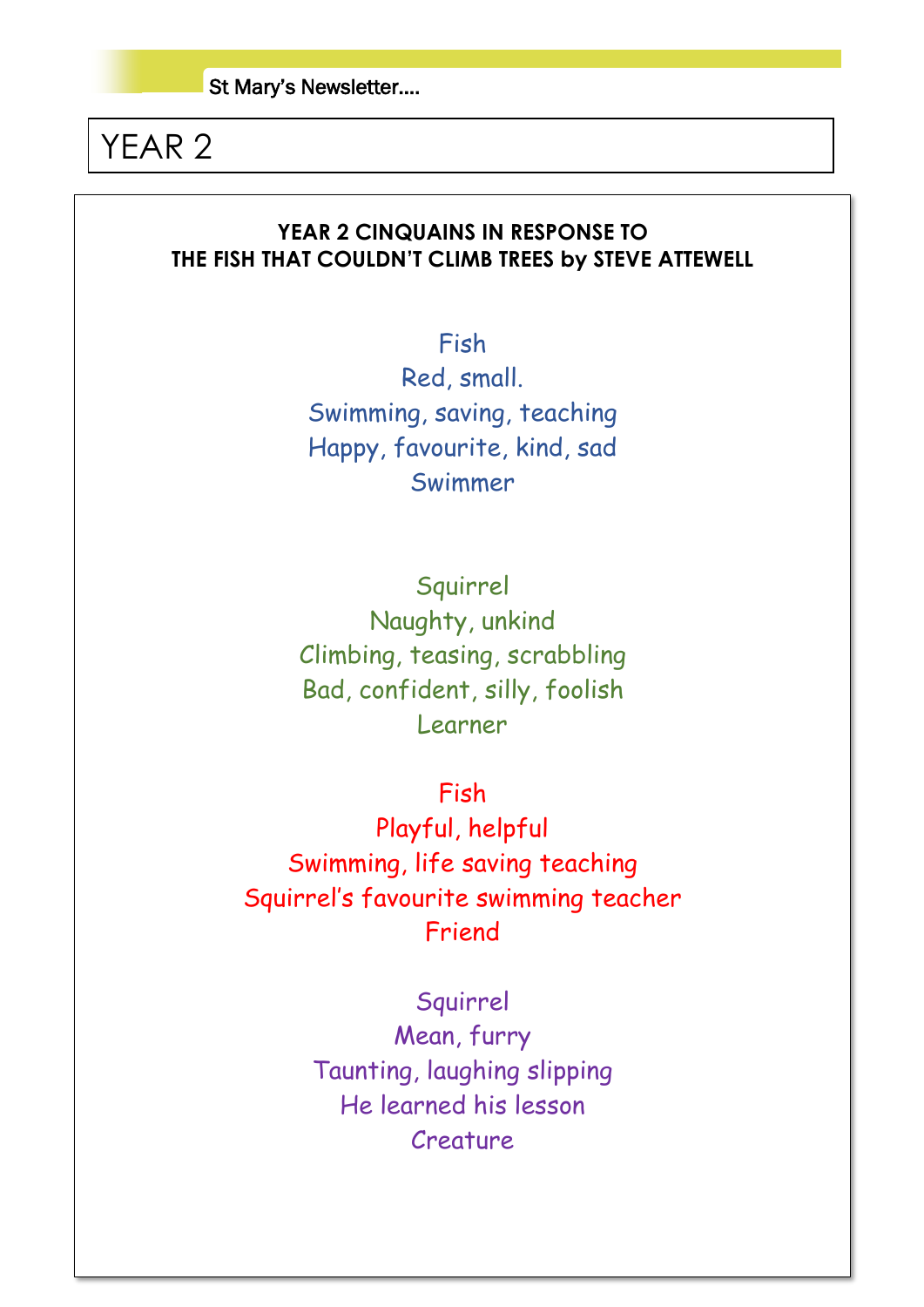## YEAR 2

### **YEAR 2 CINQUAINS IN RESPONSE TO THE FISH THAT COULDN'T CLIMB TREES by STEVE ATTEWELL**

Fish

Red, small. Swimming, saving, teaching Happy, favourite, kind, sad Swimmer

Squirrel Naughty, unkind Climbing, teasing, scrabbling Bad, confident, silly, foolish Learner

Fish

Playful, helpful Swimming, life saving teaching Squirrel's favourite swimming teacher Friend

Squirrel

Mean, furry Taunting, laughing slipping He learned his lesson Creature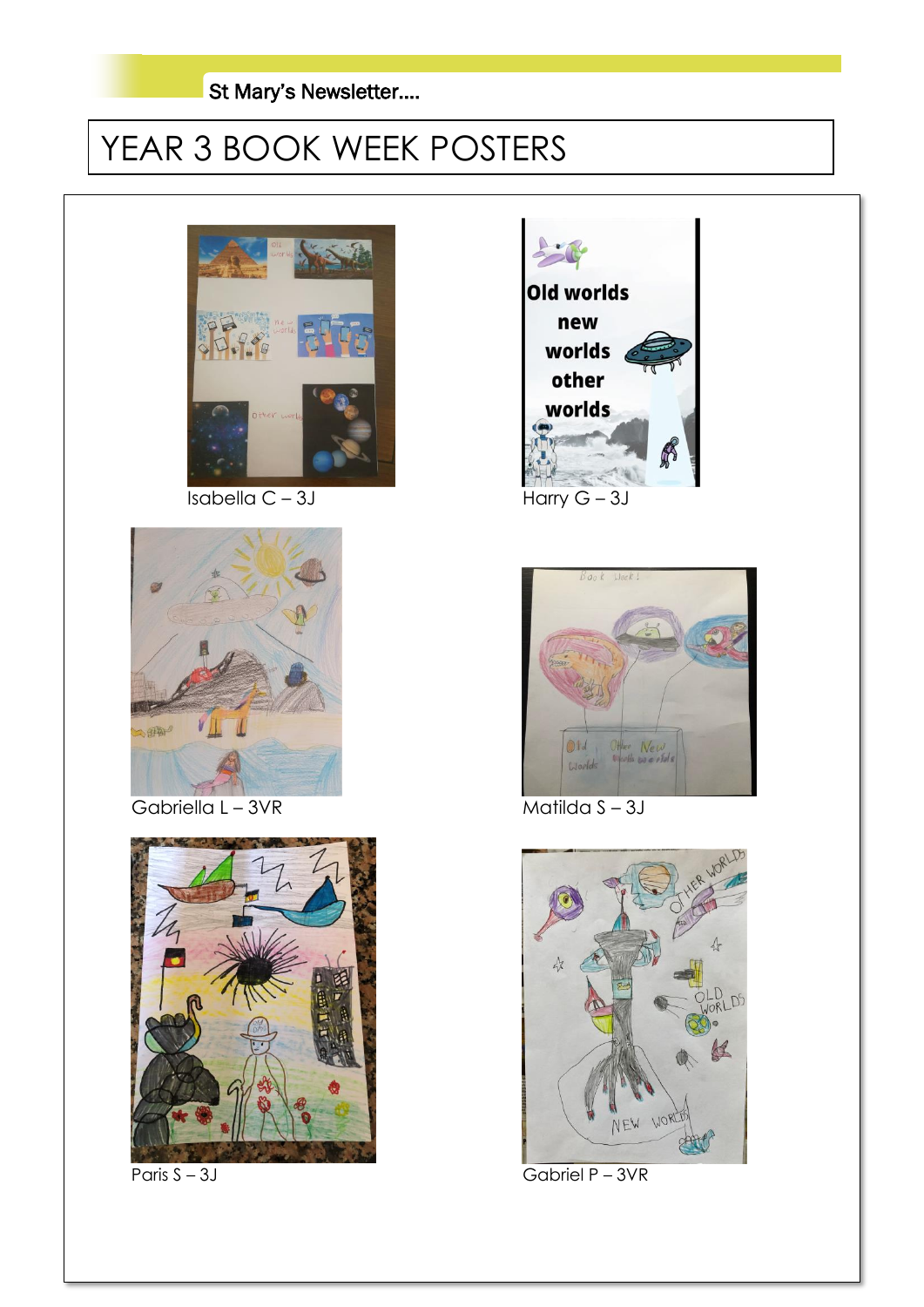### St Mary's Newsletter….

# YEAR 3 BOOK WEEK POSTERS



Isabella C – 3J Harry G – 3J



Gabriella L – 3VR Matilda S – 3J









Paris S – 3J Gabriel P – 3VR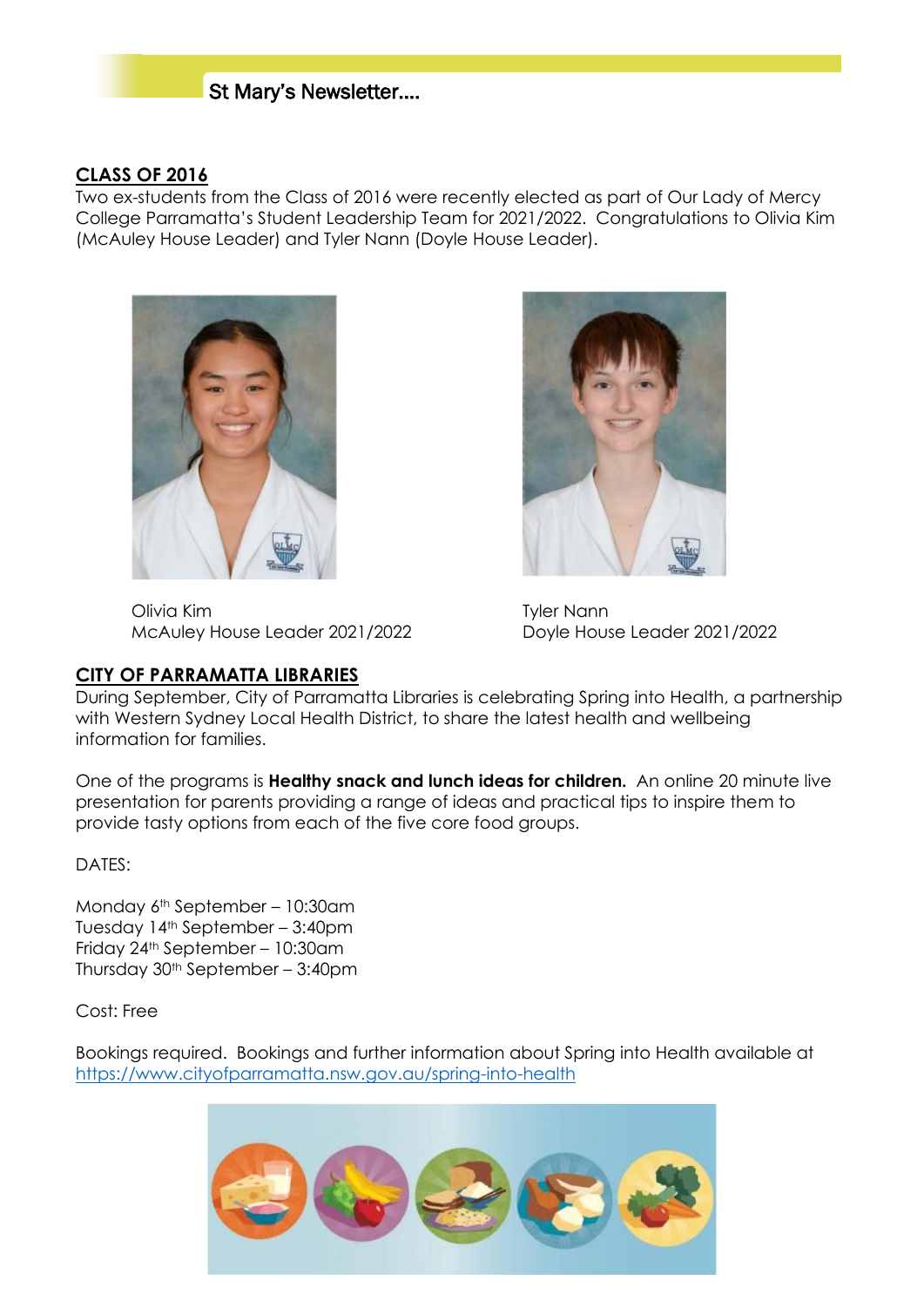### St Mary's Newsletter….

#### **CLASS OF 2016**

Two ex-students from the Class of 2016 were recently elected as part of Our Lady of Mercy College Parramatta's Student Leadership Team for 2021/2022. Congratulations to Olivia Kim (McAuley House Leader) and Tyler Nann (Doyle House Leader).





Olivia Kim **Tyler Nann** McAuley House Leader 2021/2022 Doyle House Leader 2021/2022

#### **CITY OF PARRAMATTA LIBRARIES**

During September, City of Parramatta Libraries is celebrating Spring into Health, a partnership with Western Sydney Local Health District, to share the latest health and wellbeing information for families.

One of the programs is **Healthy snack and lunch ideas for children.** An online 20 minute live presentation for parents providing a range of ideas and practical tips to inspire them to provide tasty options from each of the five core food groups.

#### DATES:

Monday 6th September – 10:30am Tuesday 14th September – 3:40pm Friday 24th September – 10:30am Thursday  $30<sup>th</sup>$  September – 3:40pm

Cost: Free

Bookings required. Bookings and further information about Spring into Health available at <https://www.cityofparramatta.nsw.gov.au/spring-into-health>